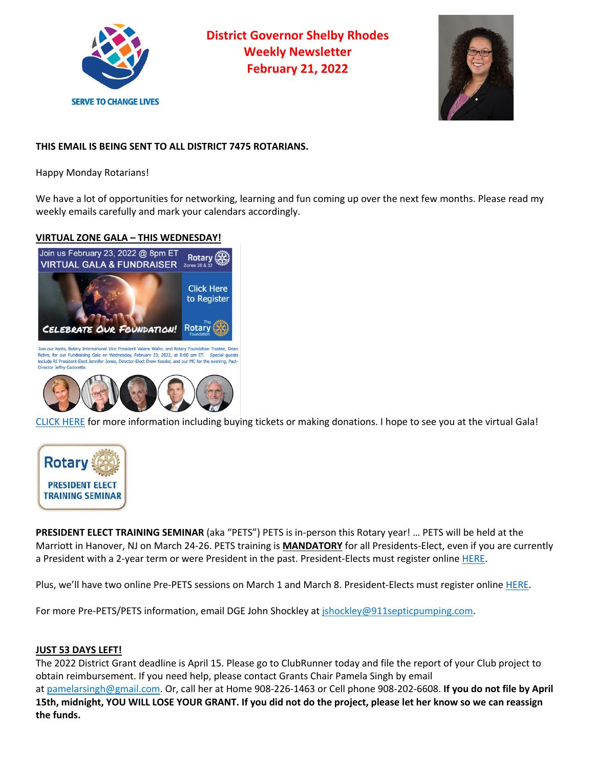

**District Governor Shelby Rhodes Weekly Newsletter February 21, 2022**



# **THIS EMAIL IS BEING SENT TO ALL DISTRICT 7475 ROTARIANS.**

Happy Monday Rotarians!

We have a lot of opportunities for networking, learning and fun coming up over the next few months. Please read my weekly emails carefully and mark your calendars accordingly.

## **VIRTUAL ZONE GALA – THIS WEDNESDAY!**



CLICK HERE for more information including buying tickets or making donations. I hope to see you at the virtual Gala!



**PRESIDENT ELECT TRAINING SEMINAR** (aka "PETS") PETS is in-person this Rotary year! … PETS will be held at the Marriott in Hanover, NJ on March 24-26. PETS training is **MANDATORY** for all Presidents-Elect, even if you are currently a President with a 2-year term or were President in the past. President-Elects must register online HERE.

Plus, we'll have two online Pre-PETS sessions on March 1 and March 8. President-Elects must register online HERE.

For more Pre-PETS/PETS information, email DGE John Shockley at *ishockley@911septicpumping.com.* 

## **JUST 53 DAYS LEFT!**

The 2022 District Grant deadline is April 15. Please go to ClubRunner today and file the report of your Club project to obtain reimbursement. If you need help, please contact Grants Chair Pamela Singh by email at pamelarsingh@gmail.com. Or, call her at Home 908-226-1463 or Cell phone 908-202-6608. **If you do not file by April 15th, midnight, YOU WILL LOSE YOUR GRANT. If you did not do the project, please let her know so we can reassign the funds.**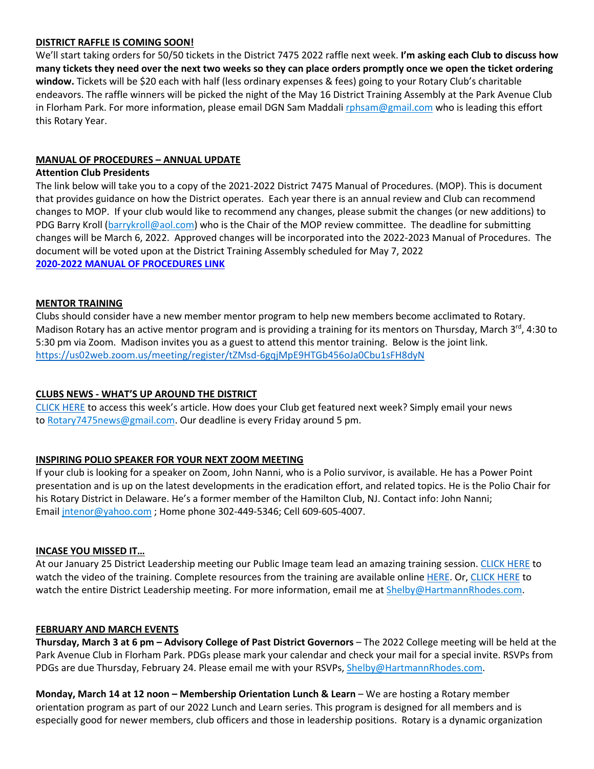## **DISTRICT RAFFLE IS COMING SOON!**

We'll start taking orders for 50/50 tickets in the District 7475 2022 raffle next week. **I'm asking each Club to discuss how many tickets they need over the next two weeks so they can place orders promptly once we open the ticket ordering window.** Tickets will be \$20 each with half (less ordinary expenses & fees) going to your Rotary Club's charitable endeavors. The raffle winners will be picked the night of the May 16 District Training Assembly at the Park Avenue Club in Florham Park. For more information, please email DGN Sam Maddali rphsam@gmail.com who is leading this effort this Rotary Year.

## **MANUAL OF PROCEDURES – ANNUAL UPDATE**

#### **Attention Club Presidents**

The link below will take you to a copy of the 2021-2022 District 7475 Manual of Procedures. (MOP). This is document that provides guidance on how the District operates. Each year there is an annual review and Club can recommend changes to MOP. If your club would like to recommend any changes, please submit the changes (or new additions) to PDG Barry Kroll (barrykroll@aol.com) who is the Chair of the MOP review committee. The deadline for submitting changes will be March 6, 2022. Approved changes will be incorporated into the 2022-2023 Manual of Procedures. The document will be voted upon at the District Training Assembly scheduled for May 7, 2022 **2020-2022 MANUAL OF PROCEDURES LINK**

## **MENTOR TRAINING**

Clubs should consider have a new member mentor program to help new members become acclimated to Rotary. Madison Rotary has an active mentor program and is providing a training for its mentors on Thursday, March  $3^{\text{rd}}$ , 4:30 to 5:30 pm via Zoom. Madison invites you as a guest to attend this mentor training. Below is the joint link. https://us02web.zoom.us/meeting/register/tZMsd-6gqjMpE9HTGb456oJa0Cbu1sFH8dyN

## **CLUBS NEWS - WHAT'S UP AROUND THE DISTRICT**

CLICK HERE to access this week's article. How does your Club get featured next week? Simply email your news to Rotary7475news@gmail.com. Our deadline is every Friday around 5 pm.

## **INSPIRING POLIO SPEAKER FOR YOUR NEXT ZOOM MEETING**

If your club is looking for a speaker on Zoom, John Nanni, who is a Polio survivor, is available. He has a Power Point presentation and is up on the latest developments in the eradication effort, and related topics. He is the Polio Chair for his Rotary District in Delaware. He's a former member of the Hamilton Club, NJ. Contact info: John Nanni; Email intenor@yahoo.com; Home phone 302-449-5346; Cell 609-605-4007.

## **INCASE YOU MISSED IT…**

At our January 25 District Leadership meeting our Public Image team lead an amazing training session. CLICK HERE to watch the video of the training. Complete resources from the training are available online HERE. Or, CLICK HERE to watch the entire District Leadership meeting. For more information, email me at Shelby@HartmannRhodes.com.

## **FEBRUARY AND MARCH EVENTS**

**Thursday, March 3 at 6 pm – Advisory College of Past District Governors** – The 2022 College meeting will be held at the Park Avenue Club in Florham Park. PDGs please mark your calendar and check your mail for a special invite. RSVPs from PDGs are due Thursday, February 24. Please email me with your RSVPs, Shelby@HartmannRhodes.com.

**Monday, March 14 at 12 noon – Membership Orientation Lunch & Learn** – We are hosting a Rotary member orientation program as part of our 2022 Lunch and Learn series. This program is designed for all members and is especially good for newer members, club officers and those in leadership positions. Rotary is a dynamic organization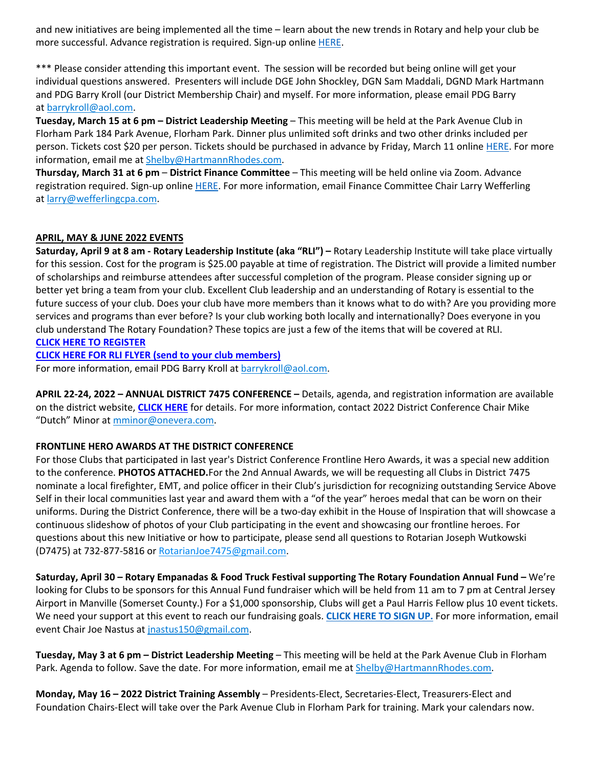and new initiatives are being implemented all the time – learn about the new trends in Rotary and help your club be more successful. Advance registration is required. Sign-up online HERE.

\*\*\* Please consider attending this important event. The session will be recorded but being online will get your individual questions answered. Presenters will include DGE John Shockley, DGN Sam Maddali, DGND Mark Hartmann and PDG Barry Kroll (our District Membership Chair) and myself. For more information, please email PDG Barry at barrykroll@aol.com.

**Tuesday, March 15 at 6 pm – District Leadership Meeting** – This meeting will be held at the Park Avenue Club in Florham Park 184 Park Avenue, Florham Park. Dinner plus unlimited soft drinks and two other drinks included per person. Tickets cost \$20 per person. Tickets should be purchased in advance by Friday, March 11 online HERE. For more information, email me at Shelby@HartmannRhodes.com.

**Thursday, March 31 at 6 pm** – **District Finance Committee** – This meeting will be held online via Zoom. Advance registration required. Sign-up online HERE. For more information, email Finance Committee Chair Larry Wefferling at larry@wefferlingcpa.com.

## **APRIL, MAY & JUNE 2022 EVENTS**

**Saturday, April 9 at 8 am - Rotary Leadership Institute (aka "RLI") –** Rotary Leadership Institute will take place virtually for this session. Cost for the program is \$25.00 payable at time of registration. The District will provide a limited number of scholarships and reimburse attendees after successful completion of the program. Please consider signing up or better yet bring a team from your club. Excellent Club leadership and an understanding of Rotary is essential to the future success of your club. Does your club have more members than it knows what to do with? Are you providing more services and programs than ever before? Is your club working both locally and internationally? Does everyone in you club understand The Rotary Foundation? These topics are just a few of the items that will be covered at RLI. **CLICK HERE TO REGISTER**

**CLICK HERE FOR RLI FLYER (send to your club members)**

For more information, email PDG Barry Kroll at barrykroll@aol.com.

**APRIL 22-24, 2022 – ANNUAL DISTRICT 7475 CONFERENCE –** Details, agenda, and registration information are available on the district website, **CLICK HERE** for details. For more information, contact 2022 District Conference Chair Mike "Dutch" Minor at mminor@onevera.com.

## **FRONTLINE HERO AWARDS AT THE DISTRICT CONFERENCE**

For those Clubs that participated in last year's District Conference Frontline Hero Awards, it was a special new addition to the conference. **PHOTOS ATTACHED.**For the 2nd Annual Awards, we will be requesting all Clubs in District 7475 nominate a local firefighter, EMT, and police officer in their Club's jurisdiction for recognizing outstanding Service Above Self in their local communities last year and award them with a "of the year" heroes medal that can be worn on their uniforms. During the District Conference, there will be a two-day exhibit in the House of Inspiration that will showcase a continuous slideshow of photos of your Club participating in the event and showcasing our frontline heroes. For questions about this new Initiative or how to participate, please send all questions to Rotarian Joseph Wutkowski (D7475) at 732-877-5816 or RotarianJoe7475@gmail.com.

**Saturday, April 30 – Rotary Empanadas & Food Truck Festival supporting The Rotary Foundation Annual Fund –** We're looking for Clubs to be sponsors for this Annual Fund fundraiser which will be held from 11 am to 7 pm at Central Jersey Airport in Manville (Somerset County.) For a \$1,000 sponsorship, Clubs will get a Paul Harris Fellow plus 10 event tickets. We need your support at this event to reach our fundraising goals. **CLICK HERE TO SIGN UP.** For more information, email event Chair Joe Nastus at jnastus150@gmail.com.

**Tuesday, May 3 at 6 pm – District Leadership Meeting** – This meeting will be held at the Park Avenue Club in Florham Park. Agenda to follow. Save the date. For more information, email me at Shelby@HartmannRhodes.com.

**Monday, May 16 – 2022 District Training Assembly** – Presidents-Elect, Secretaries-Elect, Treasurers-Elect and Foundation Chairs-Elect will take over the Park Avenue Club in Florham Park for training. Mark your calendars now.